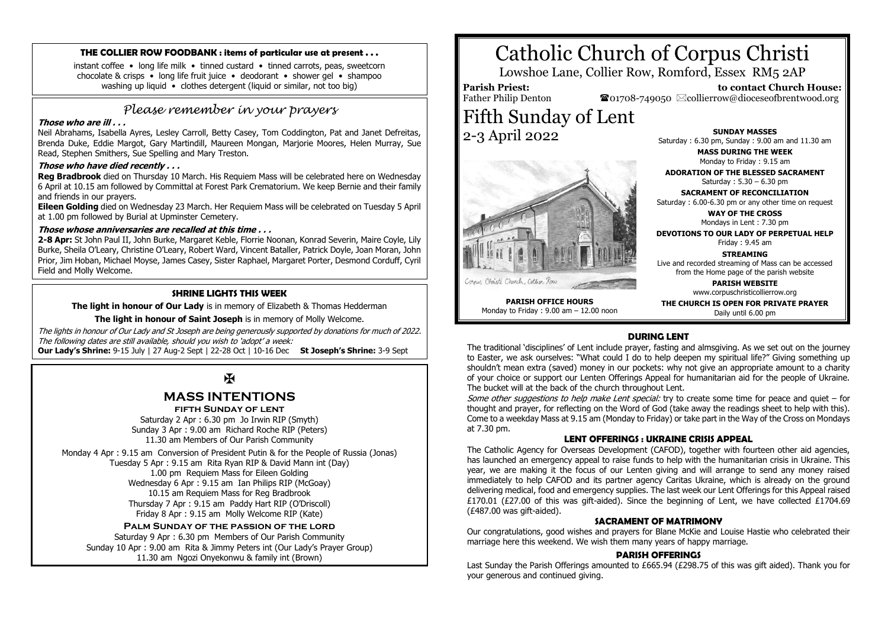#### **THE COLLIER ROW FOODBANK : items of particular use at present . . .**

instant coffee • long life milk • tinned custard • tinned carrots, peas, sweetcorn chocolate & crisps • long life fruit juice • deodorant • shower gel • shampoo washing up liquid • clothes detergent (liquid or similar, not too big)

# *Please remember in your prayers*

#### **Those who are ill . . .**

Neil Abrahams, Isabella Ayres, Lesley Carroll, Betty Casey, Tom Coddington, Pat and Janet Defreitas, Brenda Duke, Eddie Margot, Gary Martindill, Maureen Mongan, Marjorie Moores, Helen Murray, Sue Read, Stephen Smithers, Sue Spelling and Mary Treston.

#### **Those who have died recently . . .**

**Reg Bradbrook** died on Thursday 10 March. His Requiem Mass will be celebrated here on Wednesday 6 April at 10.15 am followed by Committal at Forest Park Crematorium. We keep Bernie and their family and friends in our prayers.

**Eileen Golding** died on Wednesday 23 March. Her Requiem Mass will be celebrated on Tuesday 5 April at 1.00 pm followed by Burial at Upminster Cemetery.

# **Those whose anniversaries are recalled at this time . . .**

**2-8 Apr:** St John Paul II, John Burke, Margaret Keble, Florrie Noonan, Konrad Severin, Maire Coyle, Lily Burke, Sheila O'Leary, Christine O'Leary, Robert Ward, Vincent Bataller, Patrick Doyle, Joan Moran, John Prior, Jim Hoban, Michael Moyse, James Casey, Sister Raphael, Margaret Porter, Desmond Corduff, Cyril Field and Molly Welcome.

#### **SHRINE LIGHTS THIS WEEK**

**The light in honour of Our Lady** is in memory of Elizabeth & Thomas Hedderman

**The light in honour of Saint Joseph** is in memory of Molly Welcome.

The lights in honour of Our Lady and St Joseph are being generously supported by donations for much of 2022. The following dates are still available, should you wish to 'adopt' a week:

**Our Lady's Shrine:** 9-15 July | 27 Aug-2 Sept | 22-28 Oct | 10-16 Dec **St Joseph's Shrine:** 3-9 Sept

# $\mathbf F$

# **MASS INTENTIONS**

**fifth Sunday of lent**

Saturday 2 Apr : 6.30 pm Jo Irwin RIP (Smyth) Sunday 3 Apr : 9.00 am Richard Roche RIP (Peters) 11.30 am Members of Our Parish Community

Monday 4 Apr : 9.15 am Conversion of President Putin & for the People of Russia (Jonas) Tuesday 5 Apr : 9.15 am Rita Ryan RIP & David Mann int (Day) 1.00 pm Requiem Mass for Eileen Golding Wednesday 6 Apr : 9.15 am Ian Philips RIP (McGoay) 10.15 am Requiem Mass for Reg Bradbrook Thursday 7 Apr : 9.15 am Paddy Hart RIP (O'Driscoll) Friday 8 Apr : 9.15 am Molly Welcome RIP (Kate)

# **Palm Sunday of the passion of the lord**

Saturday 9 Apr : 6.30 pm Members of Our Parish Community Sunday 10 Apr : 9.00 am Rita & Jimmy Peters int (Our Lady's Prayer Group) 11.30 am Ngozi Onyekonwu & family int (Brown)

# Catholic Church of Corpus Christi

Lowshoe Lane, Collier Row, Romford, Essex RM5 2AP

**Parish Priest:** Father Philip Denton  $\mathbf{\mathcal{F}}$ 01708-749050  $\boxtimes$ collierrow@dioceseofbrentwood.org Fifth Sunday of Lent 2-3 April 2022

**SUNDAY MASSES** Saturday : 6.30 pm, Sunday : 9.00 am and 11.30 am

 **to contact Church House:**

**MASS DURING THE WEEK** Monday to Friday : 9.15 am

**ADORATION OF THE BLESSED SACRAMENT** Saturday : 5.30 – 6.30 pm

**SACRAMENT OF RECONCILIATION** Saturday : 6.00-6.30 pm or any other time on request

**WAY OF THE CROSS** Mondays in Lent : 7.30 pm

**DEVOTIONS TO OUR LADY OF PERPETUAL HELP** Friday : 9.45 am

**STREAMING** Live and recorded streaming of Mass can be accessed from the Home page of the parish website

> **PARISH WEBSITE** www.corpuschristicollierrow.org

**PARISH OFFICE HOURS** Monday to Friday : 9.00 am – 12.00 noon **THE CHURCH IS OPEN FOR PRIVATE PRAYER** Daily until 6.00 pm

# **DURING LENT**

The traditional 'disciplines' of Lent include prayer, fasting and almsgiving. As we set out on the journey to Easter, we ask ourselves: "What could I do to help deepen my spiritual life?" Giving something up shouldn't mean extra (saved) money in our pockets: why not give an appropriate amount to a charity of your choice or support our Lenten Offerings Appeal for humanitarian aid for the people of Ukraine. The bucket will at the back of the church throughout Lent.

Some other suggestions to help make Lent special: try to create some time for peace and quiet – for thought and prayer, for reflecting on the Word of God (take away the readings sheet to help with this). Come to a weekday Mass at 9.15 am (Monday to Friday) or take part in the Way of the Cross on Mondays at 7.30 pm.

# **LENT OFFERINGS : UKRAINE CRISIS APPEAL**

The Catholic Agency for Overseas Development (CAFOD), together with fourteen other aid agencies, has launched an emergency appeal to raise funds to help with the humanitarian crisis in Ukraine. This year, we are making it the focus of our Lenten giving and will arrange to send any money raised immediately to help CAFOD and its partner agency Caritas Ukraine, which is already on the ground delivering medical, food and emergency supplies. The last week our Lent Offerings for this Appeal raised £170.01 (£27.00 of this was gift-aided). Since the beginning of Lent, we have collected £1704.69 (£487.00 was gift-aided).

# **SACRAMENT OF MATRIMONY**

Our congratulations, good wishes and prayers for Blane McKie and Louise Hastie who celebrated their marriage here this weekend. We wish them many years of happy marriage.

#### **PARISH OFFERINGS**

Last Sunday the Parish Offerings amounted to £665.94 (£298.75 of this was gift aided). Thank you for your generous and continued giving.